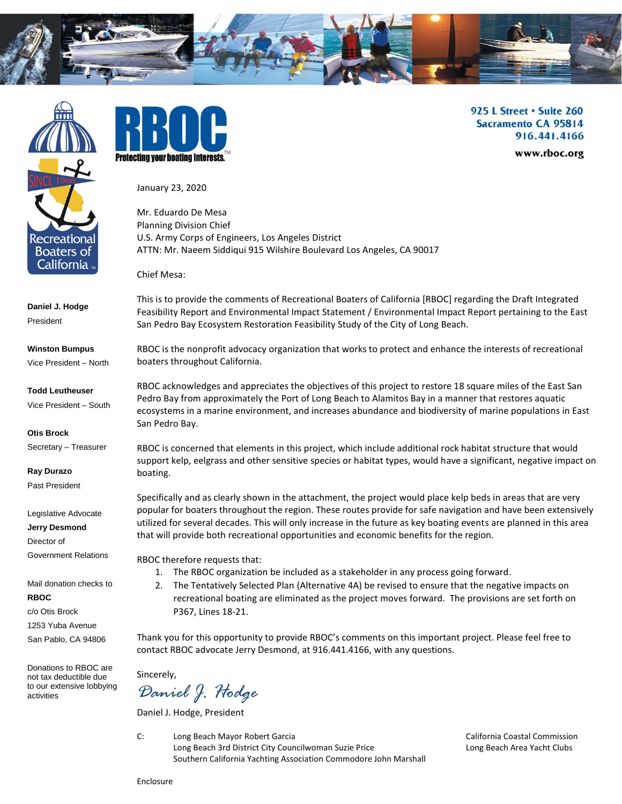



**Daniel J. Hodge** President

**Winston Bumpus** Vice President – North

**Todd Leutheuser**

Vice President – South

**Otis Brock**

Secretary – Treasurer

**Ray Durazo** Past President

Legislative Advocate

**Jerry Desmond**

Director of

Government Relations

Mail donation checks to

**RBOC** 

c/o Otis Brock

1253 Yuba Avenue

San Pablo, CA 94806

Donations to RBOC are not tax deductible due to our extensive lobbying activities



925 L Street . Suite 260 **Sacramento CA 95814** 916.441.4166

www.rboc.org

January 23, 2020

Mr. Eduardo De Mesa Planning Division Chief U.S. Army Corps of Engineers, Los Angeles District ATTN: Mr. Naeem Siddiqui 915 Wilshire Boulevard Los Angeles, CA 90017

Chief Mesa:

This is to provide the comments of Recreational Boaters of California [RBOC] regarding the Draft Integrated Feasibility Report and Environmental Impact Statement / Environmental Impact Report pertaining to the East San Pedro Bay Ecosystem Restoration Feasibility Study of the City of Long Beach.

RBOC is the nonprofit advocacy organization that works to protect and enhance the interests of recreational boaters throughout California.

RBOC acknowledges and appreciates the objectives of this project to restore 18 square miles of the East San Pedro Bay from approximately the Port of Long Beach to Alamitos Bay in a manner that restores aquatic ecosystems in a marine environment, and increases abundance and biodiversity of marine populations in East San Pedro Bay.

RBOC is concerned that elements in this project, which include additional rock habitat structure that would support kelp, eelgrass and other sensitive species or habitat types, would have a significant, negative impact on boating.

Specifically and as clearly shown in the attachment, the project would place kelp beds in areas that are very popular for boaters throughout the region. These routes provide for safe navigation and have been extensively utilized for several decades. This will only increase in the future as key boating events are planned in this area that will provide both recreational opportunities and economic benefits for the region.

RBOC therefore requests that:

- 1. The RBOC organization be included as a stakeholder in any process going forward.
- 2. The Tentatively Selected Plan (Alternative 4A) be revised to ensure that the negative impacts on recreational boating are eliminated as the project moves forward. The provisions are set forth on P367, Lines 18-21.

Thank you for this opportunity to provide RBOC's comments on this important project. Please feel free to contact RBOC advocate Jerry Desmond, at 916.441.4166, with any questions.

Sincerely,

*Daniel J. Hodge*

Daniel J. Hodge, President

C: Long Beach Mayor Robert Garcia California Coastal Commission Long Beach 3rd District City Councilwoman Suzie Price Long Beach Area Yacht Clubs Southern California Yachting Association Commodore John Marshall